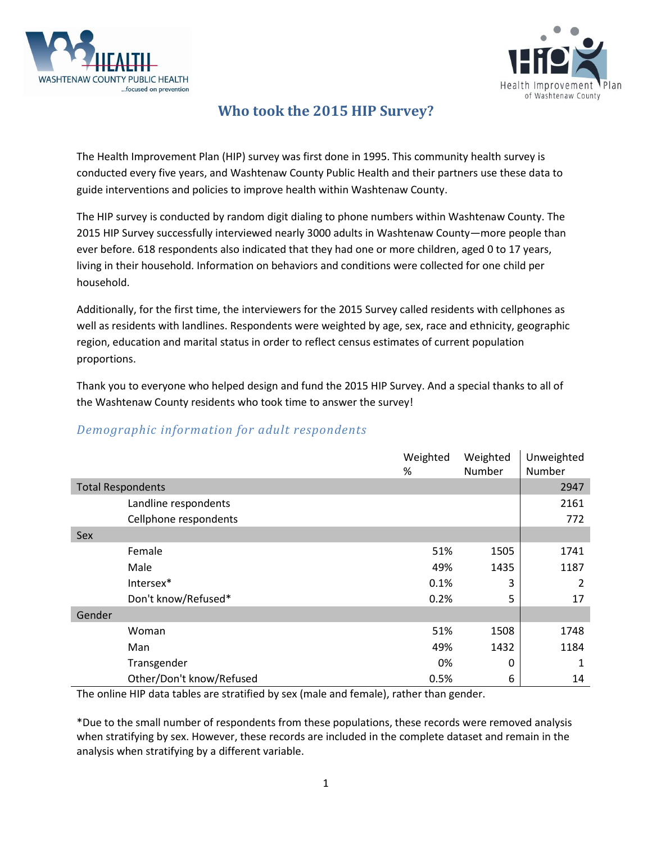



## **Who took the 2015 HIP Survey?**

The Health Improvement Plan (HIP) survey was first done in 1995. This community health survey is conducted every five years, and Washtenaw County Public Health and their partners use these data to guide interventions and policies to improve health within Washtenaw County.

The HIP survey is conducted by random digit dialing to phone numbers within Washtenaw County. The 2015 HIP Survey successfully interviewed nearly 3000 adults in Washtenaw County—more people than ever before. 618 respondents also indicated that they had one or more children, aged 0 to 17 years, living in their household. Information on behaviors and conditions were collected for one child per household.

Additionally, for the first time, the interviewers for the 2015 Survey called residents with cellphones as well as residents with landlines. Respondents were weighted by age, sex, race and ethnicity, geographic region, education and marital status in order to reflect census estimates of current population proportions.

Thank you to everyone who helped design and fund the 2015 HIP Survey. And a special thanks to all of the Washtenaw County residents who took time to answer the survey!

|                          |                          | Weighted<br>% | Weighted<br>Number | Unweighted<br>Number |
|--------------------------|--------------------------|---------------|--------------------|----------------------|
| <b>Total Respondents</b> |                          |               |                    | 2947                 |
|                          | Landline respondents     |               |                    | 2161                 |
|                          | Cellphone respondents    |               |                    | 772                  |
| <b>Sex</b>               |                          |               |                    |                      |
|                          | Female                   | 51%           | 1505               | 1741                 |
|                          | Male                     | 49%           | 1435               | 1187                 |
|                          | Intersex*                | 0.1%          | 3                  | 2                    |
|                          | Don't know/Refused*      | 0.2%          | 5                  | 17                   |
| Gender                   |                          |               |                    |                      |
|                          | Woman                    | 51%           | 1508               | 1748                 |
|                          | Man                      | 49%           | 1432               | 1184                 |
|                          | Transgender              | 0%            | 0                  | 1                    |
|                          | Other/Don't know/Refused | 0.5%          | 6                  | 14                   |

## *Demographic information for adult respondents*

The online HIP data tables are stratified by sex (male and female), rather than gender.

\*Due to the small number of respondents from these populations, these records were removed analysis when stratifying by sex. However, these records are included in the complete dataset and remain in the analysis when stratifying by a different variable.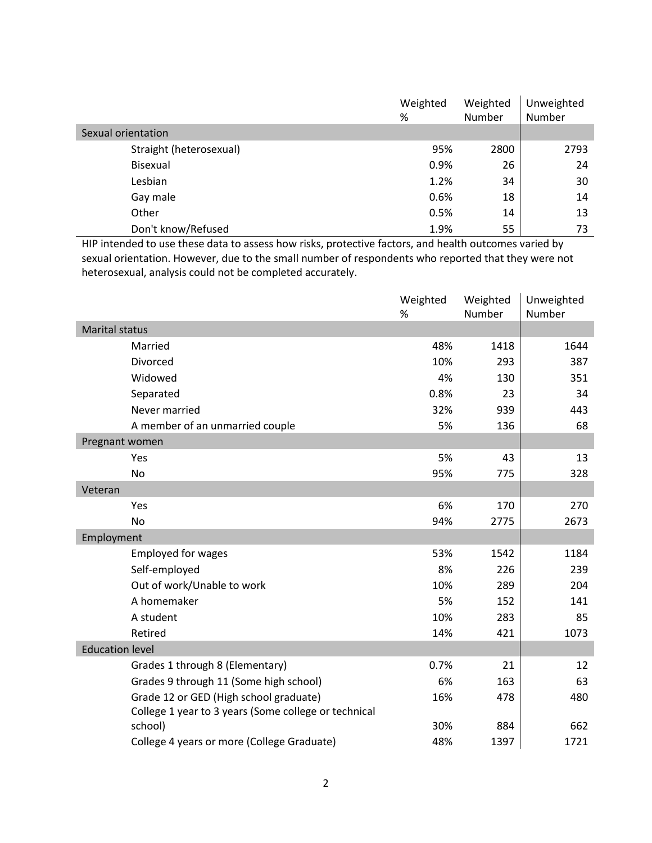|                         | Weighted | Weighted | Unweighted |
|-------------------------|----------|----------|------------|
|                         | %        | Number   | Number     |
| Sexual orientation      |          |          |            |
| Straight (heterosexual) | 95%      | 2800     | 2793       |
| Bisexual                | 0.9%     | 26       | 24         |
| Lesbian                 | 1.2%     | 34       | 30         |
| Gay male                | 0.6%     | 18       | 14         |
| Other                   | 0.5%     | 14       | 13         |
| Don't know/Refused      | 1.9%     | 55       | 73         |

HIP intended to use these data to assess how risks, protective factors, and health outcomes varied by sexual orientation. However, due to the small number of respondents who reported that they were not heterosexual, analysis could not be completed accurately.

|                        |                                                      | Weighted<br>% | Weighted<br>Number | Unweighted<br>Number |
|------------------------|------------------------------------------------------|---------------|--------------------|----------------------|
| <b>Marital status</b>  |                                                      |               |                    |                      |
|                        | Married                                              | 48%           | 1418               | 1644                 |
|                        | Divorced                                             | 10%           | 293                | 387                  |
|                        | Widowed                                              | 4%            | 130                | 351                  |
|                        | Separated                                            | 0.8%          | 23                 | 34                   |
|                        | Never married                                        | 32%           | 939                | 443                  |
|                        | A member of an unmarried couple                      | 5%            | 136                | 68                   |
| Pregnant women         |                                                      |               |                    |                      |
|                        | Yes                                                  | 5%            | 43                 | 13                   |
|                        | <b>No</b>                                            | 95%           | 775                | 328                  |
| Veteran                |                                                      |               |                    |                      |
|                        | Yes                                                  | 6%            | 170                | 270                  |
|                        | <b>No</b>                                            | 94%           | 2775               | 2673                 |
| Employment             |                                                      |               |                    |                      |
|                        | <b>Employed for wages</b>                            | 53%           | 1542               | 1184                 |
|                        | Self-employed                                        | 8%            | 226                | 239                  |
|                        | Out of work/Unable to work                           | 10%           | 289                | 204                  |
|                        | A homemaker                                          | 5%            | 152                | 141                  |
|                        | A student                                            | 10%           | 283                | 85                   |
|                        | Retired                                              | 14%           | 421                | 1073                 |
| <b>Education level</b> |                                                      |               |                    |                      |
|                        | Grades 1 through 8 (Elementary)                      | 0.7%          | 21                 | 12                   |
|                        | Grades 9 through 11 (Some high school)               | 6%            | 163                | 63                   |
|                        | Grade 12 or GED (High school graduate)               | 16%           | 478                | 480                  |
|                        | College 1 year to 3 years (Some college or technical |               |                    |                      |
|                        | school)                                              | 30%           | 884                | 662                  |
|                        | College 4 years or more (College Graduate)           | 48%           | 1397               | 1721                 |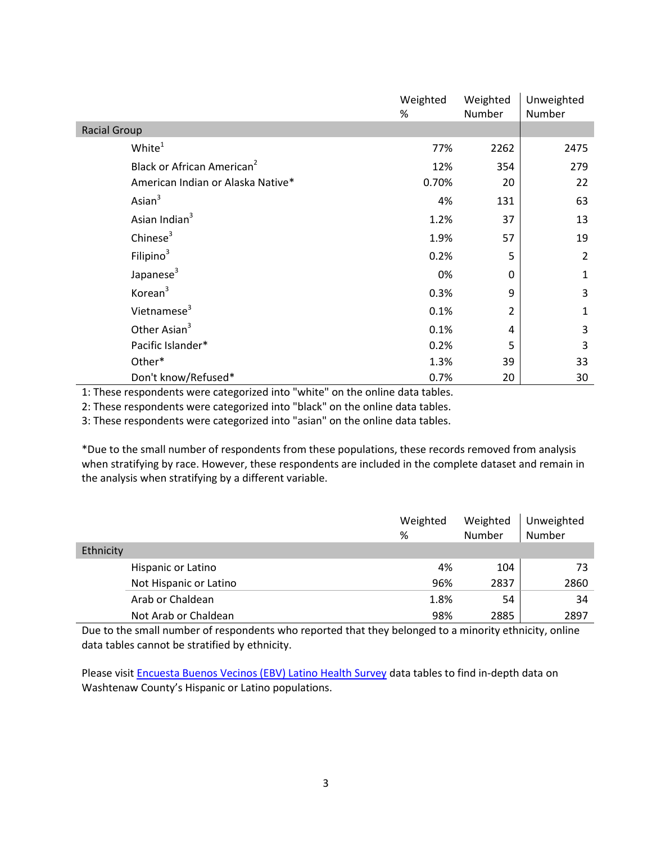|                                        | Weighted<br>% | Weighted<br>Number | Unweighted<br>Number |
|----------------------------------------|---------------|--------------------|----------------------|
| <b>Racial Group</b>                    |               |                    |                      |
| White <sup>1</sup>                     | 77%           | 2262               | 2475                 |
| Black or African American <sup>2</sup> | 12%           | 354                | 279                  |
| American Indian or Alaska Native*      | 0.70%         | 20                 | 22                   |
| Asian $3$                              | 4%            | 131                | 63                   |
| Asian Indian <sup>3</sup>              | 1.2%          | 37                 | 13                   |
| Chinese $3$                            | 1.9%          | 57                 | 19                   |
| Filipino $3$                           | 0.2%          | 5                  | $\overline{2}$       |
| Japanese <sup>3</sup>                  | 0%            | 0                  | $\mathbf{1}$         |
| Korean <sup>3</sup>                    | 0.3%          | 9                  | 3                    |
| Vietnamese <sup>3</sup>                | 0.1%          | 2                  | 1                    |
| Other Asian <sup>3</sup>               | 0.1%          | 4                  | 3                    |
| Pacific Islander*                      | 0.2%          | 5                  | 3                    |
| Other*                                 | 1.3%          | 39                 | 33                   |
| Don't know/Refused*                    | 0.7%          | 20                 | 30                   |

1: These respondents were categorized into "white" on the online data tables.

2: These respondents were categorized into "black" on the online data tables.

3: These respondents were categorized into "asian" on the online data tables.

\*Due to the small number of respondents from these populations, these records removed from analysis when stratifying by race. However, these respondents are included in the complete dataset and remain in the analysis when stratifying by a different variable.

|           |                        | Weighted<br>% | Weighted<br>Number | Unweighted<br>Number |
|-----------|------------------------|---------------|--------------------|----------------------|
| Ethnicity |                        |               |                    |                      |
|           | Hispanic or Latino     | 4%            | 104                | 73                   |
|           | Not Hispanic or Latino | 96%           | 2837               | 2860                 |
|           | Arab or Chaldean       | 1.8%          | 54                 | 34                   |
|           | Not Arab or Chaldean   | 98%           | 2885               | 2897                 |

Due to the small number of respondents who reported that they belonged to a minority ethnicity, online data tables cannot be stratified by ethnicity.

Please visit [Encuesta Buenos Vecinos \(EBV\) Latino Health Survey](http://www.ewashtenaw.org/government/departments/public_health/health-promotion/hip/encuesta-buenos-vecinos-latino-health-survey) data tables to find in-depth data on Washtenaw County's Hispanic or Latino populations.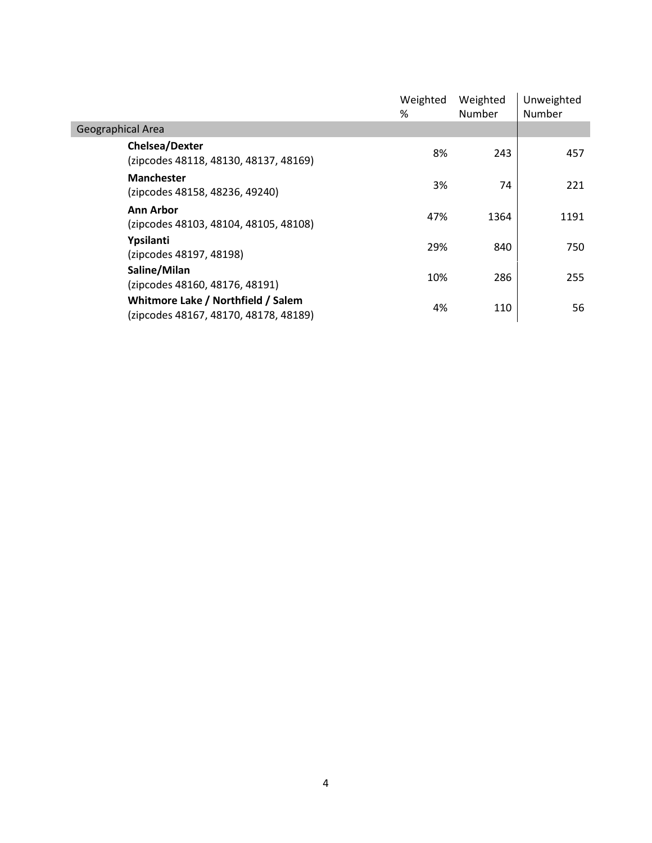|                                                                             | Weighted<br>% | Weighted<br>Number | Unweighted<br>Number |
|-----------------------------------------------------------------------------|---------------|--------------------|----------------------|
| Geographical Area                                                           |               |                    |                      |
| <b>Chelsea/Dexter</b><br>(zipcodes 48118, 48130, 48137, 48169)              | 8%            | 243                | 457                  |
| <b>Manchester</b><br>(zipcodes 48158, 48236, 49240)                         | 3%            | 74                 | 221                  |
| <b>Ann Arbor</b><br>(zipcodes 48103, 48104, 48105, 48108)                   | 47%           | 1364               | 1191                 |
| Ypsilanti<br>(zipcodes 48197, 48198)                                        | 29%           | 840                | 750                  |
| Saline/Milan<br>(zipcodes 48160, 48176, 48191)                              | 10%           | 286                | 255                  |
| Whitmore Lake / Northfield / Salem<br>(zipcodes 48167, 48170, 48178, 48189) | 4%            | 110                | 56                   |
|                                                                             |               |                    |                      |